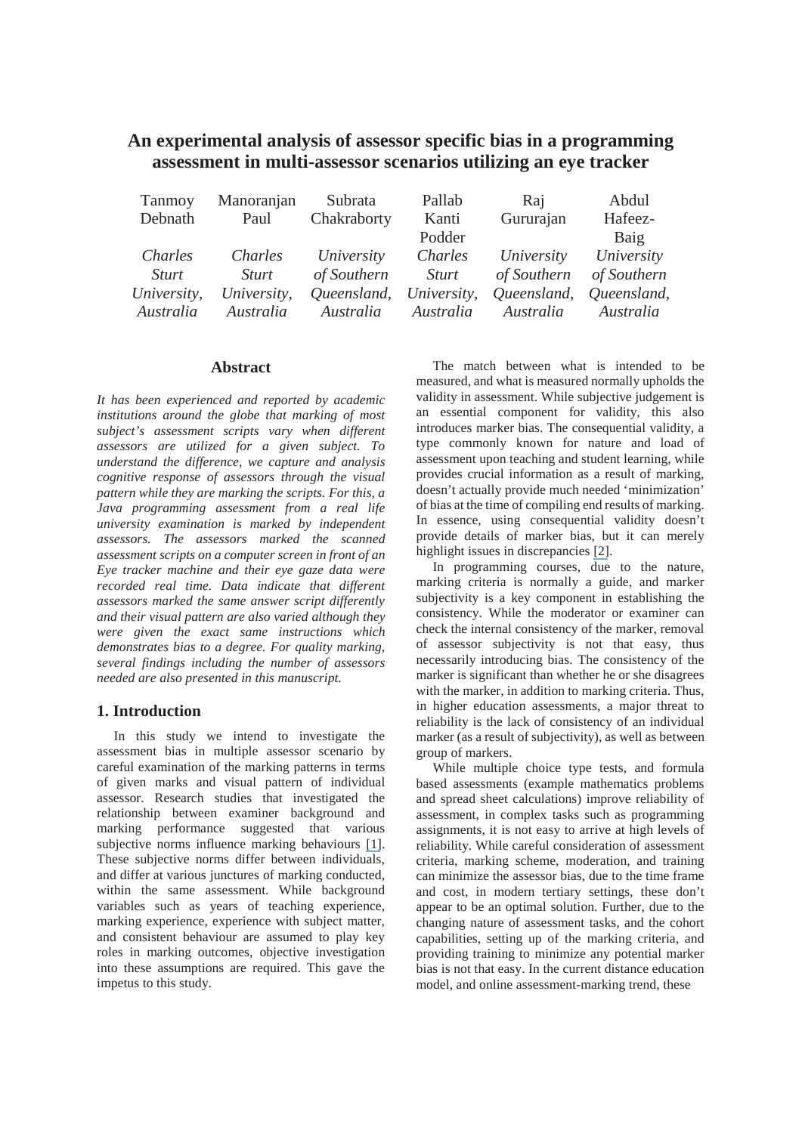|  | An experimental analysis of assessor specific bias in a programming |  |
|--|---------------------------------------------------------------------|--|
|  | assessment in multi-assessor scenarios utilizing an eye tracker     |  |

| Tanmoy       | Manoranjan   | Subrata                 | Pallab       | Raj         | Abdul       |
|--------------|--------------|-------------------------|--------------|-------------|-------------|
| Debnath      | Paul         | Chakraborty             | Kanti        | Gururajan   | Hafeez-     |
|              |              |                         | Podder       |             | Baig        |
| Charles      | Charles      | University              | Charles      | University  | University  |
| <i>Sturt</i> | <i>Sturt</i> | of Southern             | <i>Sturt</i> | of Southern | of Southern |
| University,  | University,  | Queensland, University, |              | Queensland, | Queensland, |
| Australia    | Australia    | Australia               | Australia    | Australia   | Australia   |

### **Abstract**

*It has been experienced and reported by academic institutions around the globe that marking of most subject's assessment scripts vary when different assessors are utilized for a given subject. To understand the difference, we capture and analysis cognitive response of assessors through the visual pattern while they are marking the scripts. For this, a Java programming assessment from a real life university examination is marked by independent assessors. The assessors marked the scanned assessment scripts on a computer screen in front of an Eye tracker machine and their eye gaze data were recorded real time. Data indicate that different assessors marked the same answer script differently and their visual pattern are also varied although they were given the exact same instructions which demonstrates bias to a degree. For quality marking, several findings including the number of assessors needed are also presented in this manuscript.* 

# **1. Introduction**

 In this study we intend to investigate the assessment bias in multiple assessor scenario by careful examination of the marking patterns in terms of given marks and visual pattern of individual assessor. Research studies that investigated the relationship between examiner background and marking performance suggested that various subjective norms influence marking behaviours [1]. These subjective norms differ between individuals, and differ at various junctures of marking conducted, within the same assessment. While background variables such as years of teaching experience, marking experience, experience with subject matter, and consistent behaviour are assumed to play key roles in marking outcomes, objective investigation into these assumptions are required. This gave the impetus to this study.

The match between what is intended to be measured, and what is measured normally upholds the validity in assessment. While subjective judgement is an essential component for validity, this also introduces marker bias. The consequential validity, a type commonly known for nature and load of assessment upon teaching and student learning, while provides crucial information as a result of marking, doesn't actually provide much needed 'minimization' of bias at the time of compiling end results of marking. In essence, using consequential validity doesn't provide details of marker bias, but it can merely highlight issues in discrepancies [2].

In programming courses, due to the nature, marking criteria is normally a guide, and marker subjectivity is a key component in establishing the consistency. While the moderator or examiner can check the internal consistency of the marker, removal of assessor subjectivity is not that easy, thus necessarily introducing bias. The consistency of the marker is significant than whether he or she disagrees with the marker, in addition to marking criteria. Thus, in higher education assessments, a major threat to reliability is the lack of consistency of an individual marker (as a result of subjectivity), as well as between group of markers.

While multiple choice type tests, and formula based assessments (example mathematics problems and spread sheet calculations) improve reliability of assessment, in complex tasks such as programming assignments, it is not easy to arrive at high levels of reliability. While careful consideration of assessment criteria, marking scheme, moderation, and training can minimize the assessor bias, due to the time frame and cost, in modern tertiary settings, these don't appear to be an optimal solution. Further, due to the changing nature of assessment tasks, and the cohort capabilities, setting up of the marking criteria, and providing training to minimize any potential marker bias is not that easy. In the current distance education model, and online assessment-marking trend, these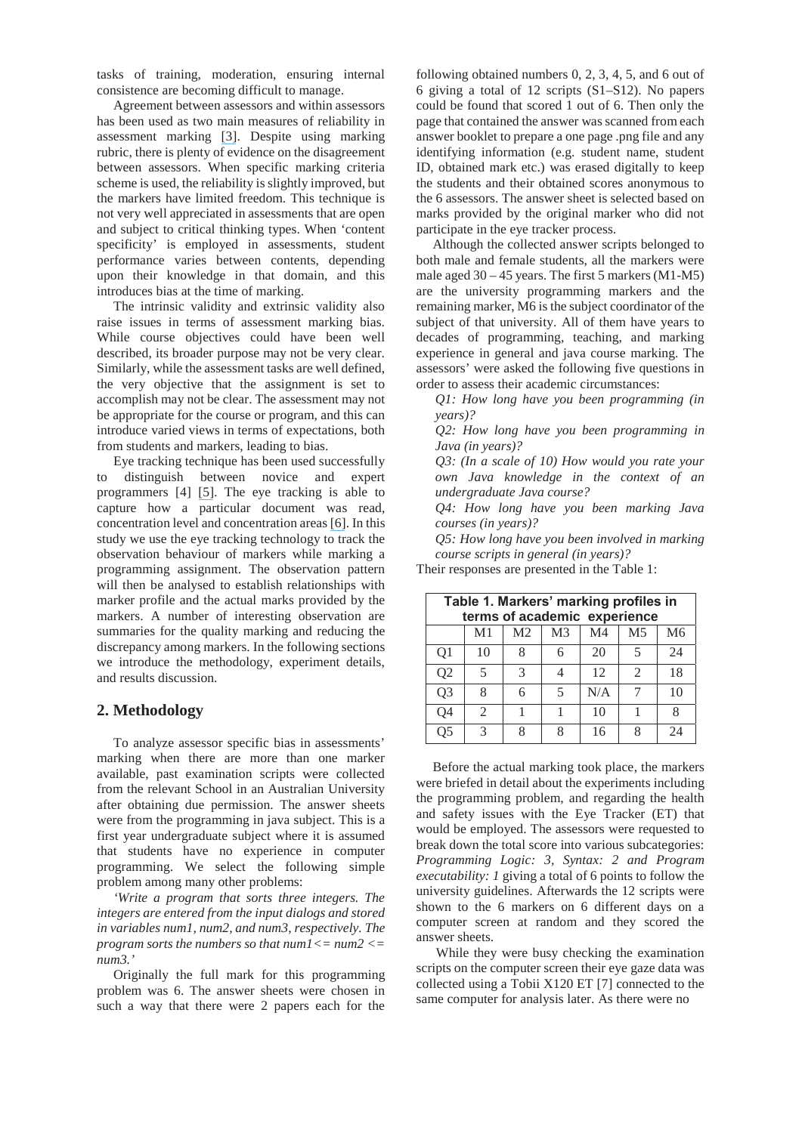tasks of training, moderation, ensuring internal consistence are becoming difficult to manage.

Agreement between assessors and within assessors has been used as two main measures of reliability in assessment marking [3]. Despite using marking rubric, there is plenty of evidence on the disagreement between assessors. When specific marking criteria scheme is used, the reliability is slightly improved, but the markers have limited freedom. This technique is not very well appreciated in assessments that are open and subject to critical thinking types. When 'content specificity' is employed in assessments, student performance varies between contents, depending upon their knowledge in that domain, and this introduces bias at the time of marking.

The intrinsic validity and extrinsic validity also raise issues in terms of assessment marking bias. While course objectives could have been well described, its broader purpose may not be very clear. Similarly, while the assessment tasks are well defined, the very objective that the assignment is set to accomplish may not be clear. The assessment may not be appropriate for the course or program, and this can introduce varied views in terms of expectations, both from students and markers, leading to bias.

Eye tracking technique has been used successfully to distinguish between novice and expert programmers [4] [5]. The eye tracking is able to capture how a particular document was read, concentration level and concentration areas [6]. In this study we use the eye tracking technology to track the observation behaviour of markers while marking a programming assignment. The observation pattern will then be analysed to establish relationships with marker profile and the actual marks provided by the markers. A number of interesting observation are summaries for the quality marking and reducing the discrepancy among markers. In the following sections we introduce the methodology, experiment details, and results discussion.

## **2. Methodology**

To analyze assessor specific bias in assessments' marking when there are more than one marker available, past examination scripts were collected from the relevant School in an Australian University after obtaining due permission. The answer sheets were from the programming in java subject. This is a first year undergraduate subject where it is assumed that students have no experience in computer programming. We select the following simple problem among many other problems:

*'Write a program that sorts three integers. The integers are entered from the input dialogs and stored in variables num1, num2, and num3, respectively. The program sorts the numbers so that num1<= num2 <= num3.'*

Originally the full mark for this programming problem was 6. The answer sheets were chosen in such a way that there were 2 papers each for the

following obtained numbers 0, 2, 3, 4, 5, and 6 out of 6 giving a total of 12 scripts (S1–S12). No papers could be found that scored 1 out of 6. Then only the page that contained the answer was scanned from each answer booklet to prepare a one page .png file and any identifying information (e.g. student name, student ID, obtained mark etc.) was erased digitally to keep the students and their obtained scores anonymous to the 6 assessors. The answer sheet is selected based on marks provided by the original marker who did not participate in the eye tracker process.

Although the collected answer scripts belonged to both male and female students, all the markers were male aged 30 – 45 years. The first 5 markers (M1-M5) are the university programming markers and the remaining marker, M6 is the subject coordinator of the subject of that university. All of them have years to decades of programming, teaching, and marking experience in general and java course marking. The assessors' were asked the following five questions in order to assess their academic circumstances:

*Q1: How long have you been programming (in years)?* 

*Q2: How long have you been programming in Java (in years)?* 

*Q3: (In a scale of 10) How would you rate your own Java knowledge in the context of an undergraduate Java course?* 

*Q4: How long have you been marking Java courses (in years)?* 

*Q5: How long have you been involved in marking course scripts in general (in years)?*

Their responses are presented in the Table 1:

| Table 1. Markers' marking profiles in<br>terms of academic experience |                                                                                              |   |   |     |                |    |  |  |
|-----------------------------------------------------------------------|----------------------------------------------------------------------------------------------|---|---|-----|----------------|----|--|--|
|                                                                       | M <sub>4</sub><br>M <sub>3</sub><br>M <sub>2</sub><br>M <sub>1</sub><br>M <sub>5</sub><br>M6 |   |   |     |                |    |  |  |
| Q1                                                                    | 10                                                                                           | 8 |   | 20  |                | 24 |  |  |
| Q <sub>2</sub>                                                        |                                                                                              | 3 |   | 12  | $\mathfrak{D}$ | 18 |  |  |
| Q <sub>3</sub>                                                        | 8                                                                                            | 6 |   | N/A |                | 10 |  |  |
| Q4                                                                    | $\mathfrak{D}$                                                                               |   |   | 10  |                | Ջ  |  |  |
| Q5                                                                    | 3                                                                                            | Q | o | 16  | 8              | 24 |  |  |

Before the actual marking took place, the markers were briefed in detail about the experiments including the programming problem, and regarding the health and safety issues with the Eye Tracker (ET) that would be employed. The assessors were requested to break down the total score into various subcategories: *Programming Logic: 3, Syntax: 2 and Program executability: 1* giving a total of 6 points to follow the university guidelines. Afterwards the 12 scripts were shown to the 6 markers on 6 different days on a computer screen at random and they scored the answer sheets.

 While they were busy checking the examination scripts on the computer screen their eye gaze data was collected using a Tobii X120 ET [7] connected to the same computer for analysis later. As there were no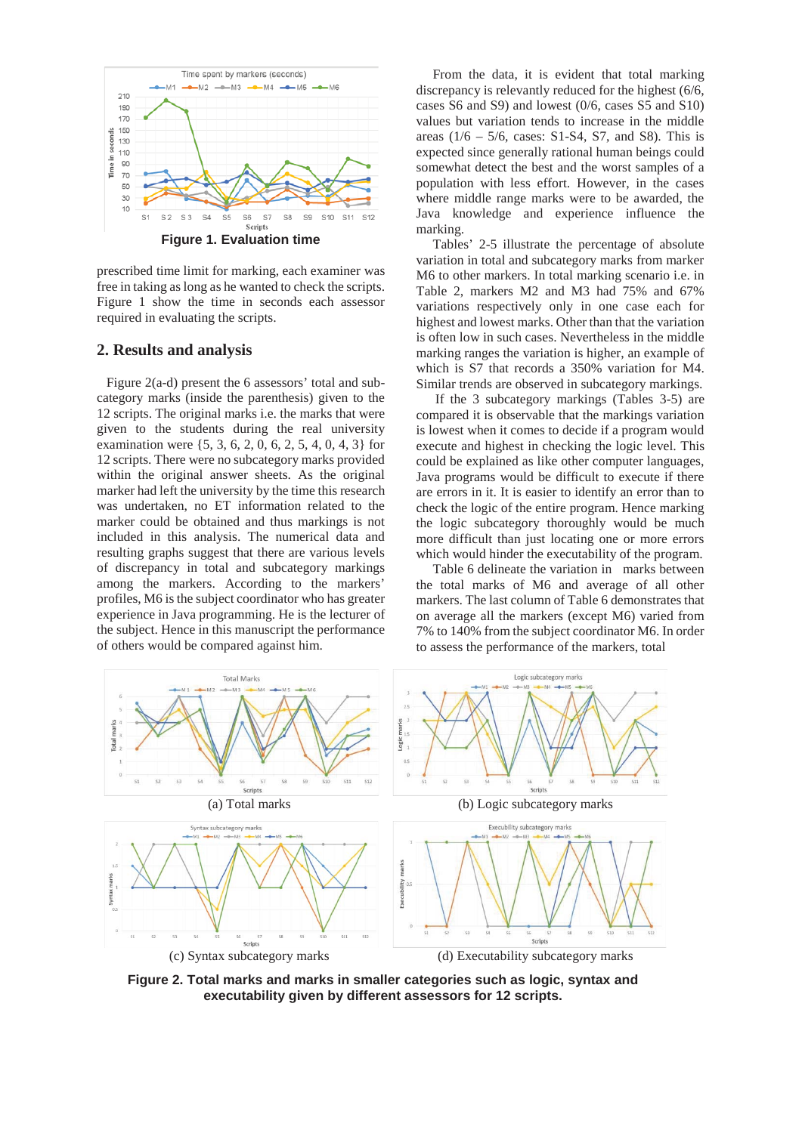

prescribed time limit for marking, each examiner was free in taking as long as he wanted to check the scripts. Figure 1 show the time in seconds each assessor required in evaluating the scripts.

#### **2. Results and analysis**

Figure 2(a-d) present the 6 assessors' total and subcategory marks (inside the parenthesis) given to the 12 scripts. The original marks i.e. the marks that were given to the students during the real university examination were {5, 3, 6, 2, 0, 6, 2, 5, 4, 0, 4, 3} for 12 scripts. There were no subcategory marks provided within the original answer sheets. As the original marker had left the university by the time this research was undertaken, no ET information related to the marker could be obtained and thus markings is not included in this analysis. The numerical data and resulting graphs suggest that there are various levels of discrepancy in total and subcategory markings among the markers. According to the markers' profiles, M6 is the subject coordinator who has greater experience in Java programming. He is the lecturer of the subject. Hence in this manuscript the performance of others would be compared against him.

From the data, it is evident that total marking discrepancy is relevantly reduced for the highest (6/6, cases S6 and S9) and lowest (0/6, cases S5 and S10) values but variation tends to increase in the middle areas  $(1/6 - 5/6, \text{ cases} : S1-S4, S7, \text{ and } S8)$ . This is expected since generally rational human beings could somewhat detect the best and the worst samples of a population with less effort. However, in the cases where middle range marks were to be awarded, the Java knowledge and experience influence the marking.

Tables' 2-5 illustrate the percentage of absolute variation in total and subcategory marks from marker M6 to other markers. In total marking scenario i.e. in Table 2, markers M2 and M3 had 75% and 67% variations respectively only in one case each for highest and lowest marks. Other than that the variation is often low in such cases. Nevertheless in the middle marking ranges the variation is higher, an example of which is S7 that records a 350% variation for M4. Similar trends are observed in subcategory markings.

If the 3 subcategory markings (Tables 3-5) are compared it is observable that the markings variation is lowest when it comes to decide if a program would execute and highest in checking the logic level. This could be explained as like other computer languages, Java programs would be difficult to execute if there are errors in it. It is easier to identify an error than to check the logic of the entire program. Hence marking the logic subcategory thoroughly would be much more difficult than just locating one or more errors which would hinder the executability of the program.

Table 6 delineate the variation in marks between the total marks of M6 and average of all other markers. The last column of Table 6 demonstrates that on average all the markers (except M6) varied from 7% to 140% from the subject coordinator M6. In order to assess the performance of the markers, total



**Figure 2. Total marks and marks in smaller categories such as logic, syntax and executability given by different assessors for 12 scripts.**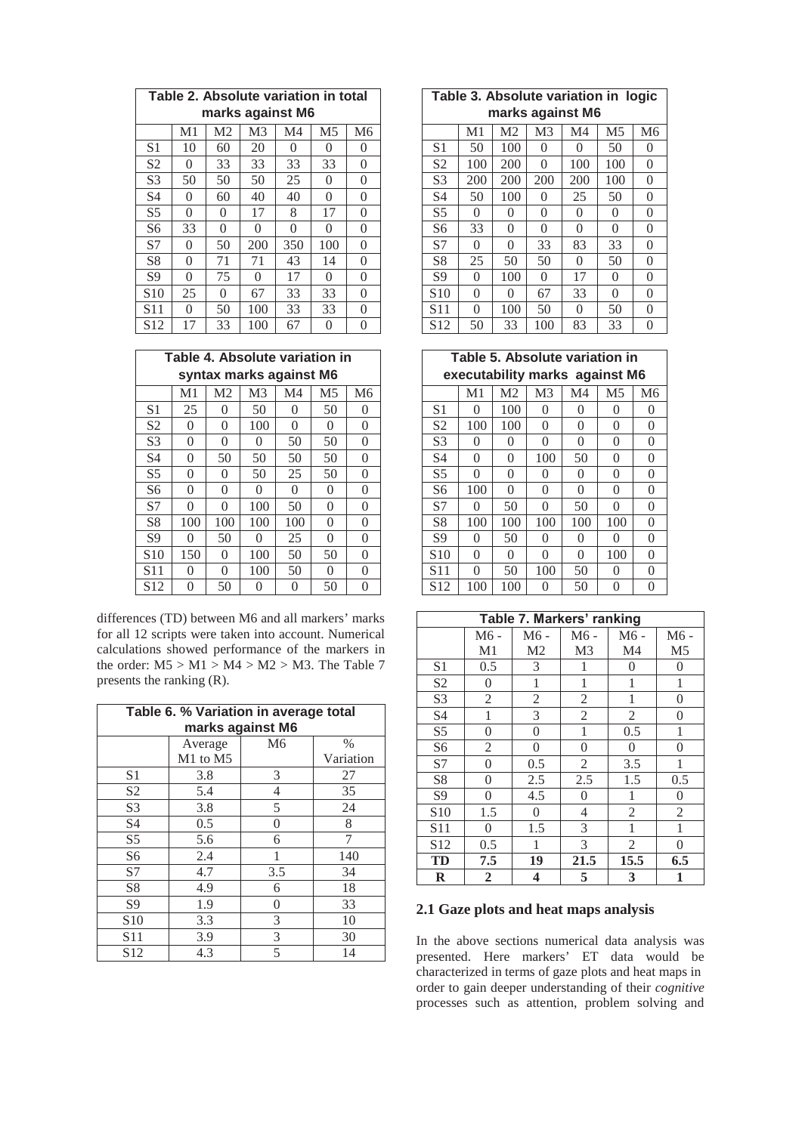|                 | Table 2. Absolute variation in total |                |                |                  |                |          |  |
|-----------------|--------------------------------------|----------------|----------------|------------------|----------------|----------|--|
|                 |                                      |                |                | marks against M6 |                |          |  |
|                 | M <sub>1</sub>                       | M <sub>2</sub> | M <sub>3</sub> | M <sub>4</sub>   | M <sub>5</sub> | M6       |  |
| S <sub>1</sub>  | 10                                   | 60             | 20             | 0                | 0              | 0        |  |
| S <sub>2</sub>  | 0                                    | 33             | 33             | 33               | 33             | 0        |  |
| S <sub>3</sub>  | 50                                   | 50             | 50             | 25               | 0              | 0        |  |
| S4              | 0                                    | 60             | 40             | 40               | 0              | 0        |  |
| S <sub>5</sub>  | $\theta$                             | 0              | 17             | 8                | 17             | 0        |  |
| S6              | 33                                   | 0              | 0              | $\theta$         | 0              | 0        |  |
| S7              | $\theta$                             | 50             | 200            | 350              | 100            | $\theta$ |  |
| S <sub>8</sub>  | $\theta$                             | 71             | 71             | 43               | 14             | 0        |  |
| S <sub>9</sub>  | $\theta$                             | 75             | 0              | 17               | 0              | $\theta$ |  |
| S <sub>10</sub> | 25                                   | 0              | 67             | 33               | 33             | 0        |  |
| S <sub>11</sub> | 0                                    | 50             | 100            | 33               | 33             | 0        |  |
| S <sub>12</sub> | 17                                   | 33             | 100            | 67               | 0              | 0        |  |

|                 | Table 4. Absolute variation in |                |                |                         |          |                |  |
|-----------------|--------------------------------|----------------|----------------|-------------------------|----------|----------------|--|
|                 |                                |                |                | syntax marks against M6 |          |                |  |
|                 | M <sub>1</sub>                 | M <sub>2</sub> | M <sub>3</sub> | M <sub>4</sub>          | M5       | M <sub>6</sub> |  |
| S <sub>1</sub>  | 25                             | 0              | 50             | 0                       | 50       | 0              |  |
| S <sub>2</sub>  | $\theta$                       | $\theta$       | 100            | $\theta$                | $\theta$ | $\theta$       |  |
| S <sub>3</sub>  | 0                              | 0              | 0              | 50                      | 50       | $\theta$       |  |
| S <sub>4</sub>  | 0                              | 50             | 50             | 50                      | 50       | 0              |  |
| S <sub>5</sub>  | $\theta$                       | 0              | 50             | 25                      | 50       | $\theta$       |  |
| S6              | 0                              | $\theta$       | $\Omega$       | $\theta$                | 0        | 0              |  |
| S7              | $\theta$                       | 0              | 100            | 50                      | 0        | $\theta$       |  |
| S <sub>8</sub>  | 100                            | 100            | 100            | 100                     | $\Omega$ | $\theta$       |  |
| <b>S9</b>       | 0                              | 50             | 0              | 25                      | $\theta$ | $\theta$       |  |
| S <sub>10</sub> | 150                            | 0              | 100            | 50                      | 50       | $\theta$       |  |
| S <sub>11</sub> | $\theta$                       | 0              | 100            | 50                      | $\theta$ | 0              |  |
| S <sub>12</sub> | 0                              | 50             | 0              | 0                       | 50       | 0              |  |

differences (TD) between M6 and all markers' marks for all 12 scripts were taken into account. Numerical calculations showed performance of the markers in the order:  $M5 > M1 > M4 > M2 > M3$ . The Table 7 presents the ranking (R).

| Table 6. % Variation in average total<br>marks against M6 |          |                |           |  |  |  |
|-----------------------------------------------------------|----------|----------------|-----------|--|--|--|
|                                                           | Average  | M <sub>6</sub> | $\%$      |  |  |  |
|                                                           | M1 to M5 |                | Variation |  |  |  |
| S1                                                        | 3.8      | 3              | 27        |  |  |  |
| S <sub>2</sub>                                            | 5.4      | 4              | 35        |  |  |  |
| S <sub>3</sub>                                            | 3.8      | 5              | 24        |  |  |  |
| S <sub>4</sub>                                            | 0.5      | $\theta$       | 8         |  |  |  |
| S <sub>5</sub>                                            | 5.6      | 6              |           |  |  |  |
| S <sub>6</sub>                                            | 2.4      | 1              | 140       |  |  |  |
| S7                                                        | 4.7      | 3.5            | 34        |  |  |  |
| <b>S8</b>                                                 | 4.9      | 6              | 18        |  |  |  |
| S <sub>9</sub>                                            | 1.9      | $\theta$       | 33        |  |  |  |
| S <sub>10</sub>                                           | 3.3      | 3              | 10        |  |  |  |
| S <sub>11</sub>                                           | 3.9      | 3              | 30        |  |  |  |
| S <sub>12</sub>                                           | 4.3      | 5              | 14        |  |  |  |

|                 | Table 3. Absolute variation in logic |                |                |                   |                |          |  |
|-----------------|--------------------------------------|----------------|----------------|-------------------|----------------|----------|--|
|                 |                                      |                |                | marks against M6  |                |          |  |
|                 | M <sub>1</sub>                       | M <sub>2</sub> | M <sub>3</sub> | M <sub>4</sub>    | M <sub>5</sub> | M6       |  |
| S <sub>1</sub>  | 50                                   | 100            | 0              | $\mathbf{\Omega}$ | 50             | 0        |  |
| S <sub>2</sub>  | 100                                  | 200            | $\theta$       | 100               | 100            | 0        |  |
| S <sub>3</sub>  | 200                                  | 200            | 200            | 200               | 100            | $\theta$ |  |
| S <sub>4</sub>  | 50                                   | 100            | 0              | 25                | 50             | 0        |  |
| S <sub>5</sub>  | $\theta$                             | 0              | 0              | 0                 | $\theta$       | $\theta$ |  |
| S <sub>6</sub>  | 33                                   | 0              | 0              | 0                 | $\theta$       | 0        |  |
| S7              | $\theta$                             | 0              | 33             | 83                | 33             | $\theta$ |  |
| S <sup>8</sup>  | 25                                   | 50             | 50             | $\Omega$          | 50             | $\theta$ |  |
| S9              | 0                                    | 100            | 0              | 17                | 0              | $\theta$ |  |
| S <sub>10</sub> | $\theta$                             | 0              | 67             | 33                | $\theta$       | $\theta$ |  |
| S <sub>11</sub> | 0                                    | 100            | 50             | 0                 | 50             | 0        |  |
| S <sub>12</sub> | 50                                   | 33             | 100            | 83                | 33             | 0        |  |

|                 | Table 5. Absolute variation in |                |                |                                |                |          |  |  |
|-----------------|--------------------------------|----------------|----------------|--------------------------------|----------------|----------|--|--|
|                 |                                |                |                | executability marks against M6 |                |          |  |  |
|                 | M <sub>1</sub>                 | M <sub>2</sub> | M <sub>3</sub> | M <sub>4</sub>                 | M <sub>5</sub> | M6       |  |  |
| S <sub>1</sub>  | 0                              | 100            | 0              | 0                              | 0              | 0        |  |  |
| S <sub>2</sub>  | 100                            | 100            | 0              | 0                              | 0              | 0        |  |  |
| S <sub>3</sub>  | 0                              | $\theta$       | 0              | 0                              | 0              | $\theta$ |  |  |
| S <sub>4</sub>  | $\Omega$                       | 0              | 100            | 50                             | $\Omega$       | $\theta$ |  |  |
| S <sub>5</sub>  | 0                              | 0              | 0              | 0                              | 0              | $\theta$ |  |  |
| S6              | 100                            | 0              | $\theta$       | 0                              | 0              | $\theta$ |  |  |
| S7              | 0                              | 50             | 0              | 50                             | 0              | $\theta$ |  |  |
| S <sub>8</sub>  | 100                            | 100            | 100            | 100                            | 100            | $\theta$ |  |  |
| <b>S9</b>       | 0                              | 50             | 0              | 0                              | 0              | $\theta$ |  |  |
| S <sub>10</sub> | 0                              | 0              | 0              | 0                              | 100            | $\theta$ |  |  |
| S <sub>11</sub> | 0                              | 50             | 100            | 50                             | $\Omega$       | 0        |  |  |
| S <sub>12</sub> | 100                            | 100            |                | 50                             | 0              | 0        |  |  |

|                 | Table 7. Markers' ranking |                  |                |                |                |  |  |  |
|-----------------|---------------------------|------------------|----------------|----------------|----------------|--|--|--|
|                 | M6 -                      | M6 -             | M6 -           | M6 -           | $M6 -$         |  |  |  |
|                 | M1                        | M <sub>2</sub>   | M <sub>3</sub> | M <sub>4</sub> | M <sub>5</sub> |  |  |  |
| S1              | 0.5                       | 3                | 1              | 0              | 0              |  |  |  |
| S <sub>2</sub>  | $\overline{0}$            | $\mathbf{1}$     | $\mathbf{1}$   | 1              | $\mathbf{1}$   |  |  |  |
| S <sub>3</sub>  | $\overline{2}$            | $\overline{2}$   | 2              | 1              | 0              |  |  |  |
| S <sub>4</sub>  | 1                         | 3                | 2              | 2              | 0              |  |  |  |
| S <sub>5</sub>  | 0                         | 0                | 1              | 0.5            | 1              |  |  |  |
| S <sub>6</sub>  | $\overline{2}$            | $\overline{0}$   | 0              | $\theta$       | $\overline{0}$ |  |  |  |
| S7              | 0                         | 0.5              | $\mathfrak{2}$ | 3.5            | 1              |  |  |  |
| S <sub>8</sub>  | $\overline{0}$            | 2.5              | 2.5            | 1.5            | 0.5            |  |  |  |
| S <sub>9</sub>  | $\overline{0}$            | 4.5              | 0              | 1              | $\overline{0}$ |  |  |  |
| S <sub>10</sub> | 1.5                       | $\boldsymbol{0}$ | 4              | 2              | $\overline{c}$ |  |  |  |
| S <sub>11</sub> | $\theta$                  | 1.5              | 3              | 1              | 1              |  |  |  |
| S12             | 0.5                       | 1                | 3              | 2              | 0              |  |  |  |
| TD              | 7.5                       | 19               | 21.5           | 15.5           | 6.5            |  |  |  |
| $\bf{R}$        | 2                         | 4                | 5              | 3              | 1              |  |  |  |

# **2.1 Gaze plots and heat maps analysis**

In the above sections numerical data analysis was presented. Here markers' ET data would be characterized in terms of gaze plots and heat maps in order to gain deeper understanding of their *cognitive* processes such as attention, problem solving and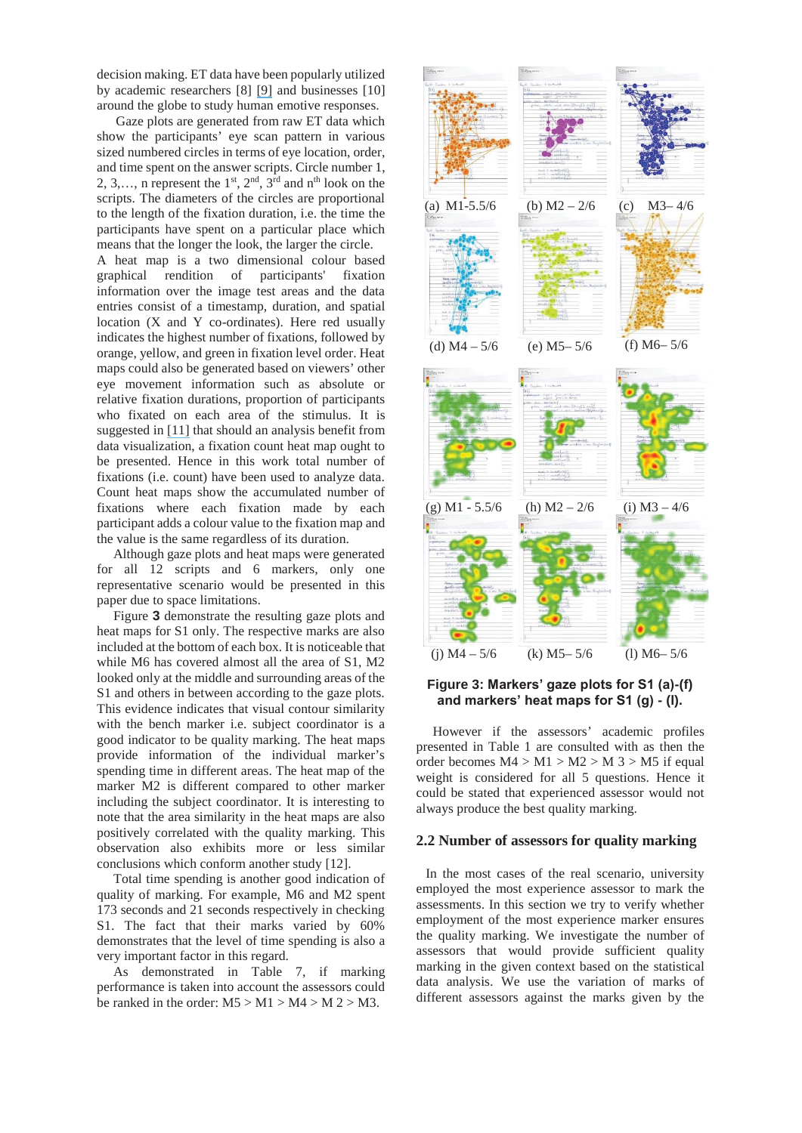decision making. ET data have been popularly utilized by academic researchers [8] [9] and businesses [10] around the globe to study human emotive responses.

Gaze plots are generated from raw ET data which show the participants' eye scan pattern in various sized numbered circles in terms of eye location, order, and time spent on the answer scripts. Circle number 1, 2, 3,..., n represent the  $1<sup>st</sup>$ ,  $2<sup>nd</sup>$ ,  $3<sup>rd</sup>$  and  $n<sup>th</sup>$  look on the scripts. The diameters of the circles are proportional to the length of the fixation duration, i.e. the time the participants have spent on a particular place which means that the longer the look, the larger the circle.

A heat map is a two dimensional colour based graphical rendition of participants' fixation information over the image test areas and the data entries consist of a timestamp, duration, and spatial location (X and Y co-ordinates). Here red usually indicates the highest number of fixations, followed by orange, yellow, and green in fixation level order. Heat maps could also be generated based on viewers' other eye movement information such as absolute or relative fixation durations, proportion of participants who fixated on each area of the stimulus. It is suggested in [11] that should an analysis benefit from data visualization, a fixation count heat map ought to be presented. Hence in this work total number of fixations (i.e. count) have been used to analyze data. Count heat maps show the accumulated number of fixations where each fixation made by each participant adds a colour value to the fixation map and the value is the same regardless of its duration.

Although gaze plots and heat maps were generated for all 12 scripts and 6 markers, only one representative scenario would be presented in this paper due to space limitations.

Figure **3** demonstrate the resulting gaze plots and heat maps for S1 only. The respective marks are also included at the bottom of each box. It is noticeable that while M6 has covered almost all the area of S1, M2 looked only at the middle and surrounding areas of the S1 and others in between according to the gaze plots. This evidence indicates that visual contour similarity with the bench marker i.e. subject coordinator is a good indicator to be quality marking. The heat maps provide information of the individual marker's spending time in different areas. The heat map of the marker M2 is different compared to other marker including the subject coordinator. It is interesting to note that the area similarity in the heat maps are also positively correlated with the quality marking. This observation also exhibits more or less similar conclusions which conform another study [12].

Total time spending is another good indication of quality of marking. For example, M6 and M2 spent 173 seconds and 21 seconds respectively in checking S1. The fact that their marks varied by 60% demonstrates that the level of time spending is also a very important factor in this regard.

As demonstrated in Table 7, if marking performance is taken into account the assessors could be ranked in the order:  $M5 > M1 > M4 > M2 > M3$ .



## **Figure 3: Markers' gaze plots for S1 (a)-(f) and markers' heat maps for S1 (g) - (l).**

However if the assessors' academic profiles presented in Table 1 are consulted with as then the order becomes  $M4 > M1 > M2 > M3 > M5$  if equal weight is considered for all 5 questions. Hence it could be stated that experienced assessor would not always produce the best quality marking.

#### **2.2 Number of assessors for quality marking**

In the most cases of the real scenario, university employed the most experience assessor to mark the assessments. In this section we try to verify whether employment of the most experience marker ensures the quality marking. We investigate the number of assessors that would provide sufficient quality marking in the given context based on the statistical data analysis. We use the variation of marks of different assessors against the marks given by the